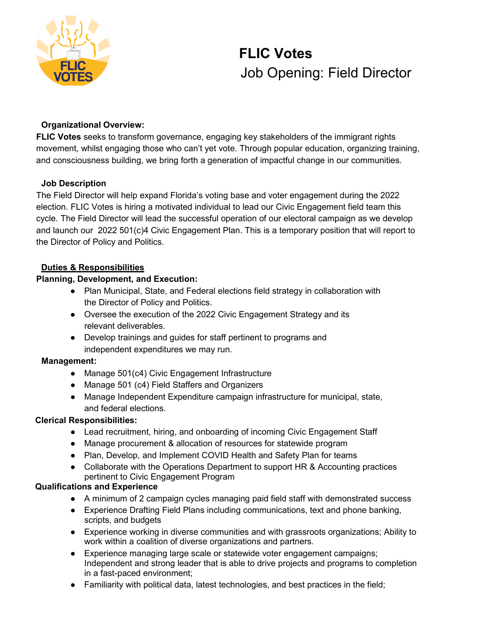

# **FLIC Votes** Job Opening: Field Director

#### **Organizational Overview:**

**FLIC Votes** seeks to transform governance, engaging key stakeholders of the immigrant rights movement, whilst engaging those who can't yet vote. Through popular education, organizing training, and consciousness building, we bring forth a generation of impactful change in our communities.

#### **Job Description**

The Field Director will help expand Florida's voting base and voter engagement during the 2022 election. FLIC Votes is hiring a motivated individual to lead our Civic Engagement field team this cycle. The Field Director will lead the successful operation of our electoral campaign as we develop and launch our 2022 501(c)4 Civic Engagement Plan. This is a temporary position that will report to the Director of Policy and Politics.

### **Duties & Responsibilities**

### **Planning, Development, and Execution:**

- Plan Municipal, State, and Federal elections field strategy in collaboration with the Director of Policy and Politics.
- Oversee the execution of the 2022 Civic Engagement Strategy and its relevant deliverables.
- Develop trainings and guides for staff pertinent to programs and independent expenditures we may run.

#### **Management:**

- Manage 501(c4) Civic Engagement Infrastructure
- Manage 501 (c4) Field Staffers and Organizers
- Manage Independent Expenditure campaign infrastructure for municipal, state, and federal elections.

#### **Clerical Responsibilities:**

- Lead recruitment, hiring, and onboarding of incoming Civic Engagement Staff
- Manage procurement & allocation of resources for statewide program
- Plan, Develop, and Implement COVID Health and Safety Plan for teams
- Collaborate with the Operations Department to support HR & Accounting practices pertinent to Civic Engagement Program

## **Qualifications and Experience**

- A minimum of 2 campaign cycles managing paid field staff with demonstrated success
- Experience Drafting Field Plans including communications, text and phone banking, scripts, and budgets
- Experience working in diverse communities and with grassroots organizations; Ability to work within a coalition of diverse organizations and partners.
- Experience managing large scale or statewide voter engagement campaigns; Independent and strong leader that is able to drive projects and programs to completion in a fast-paced environment;
- Familiarity with political data, latest technologies, and best practices in the field;